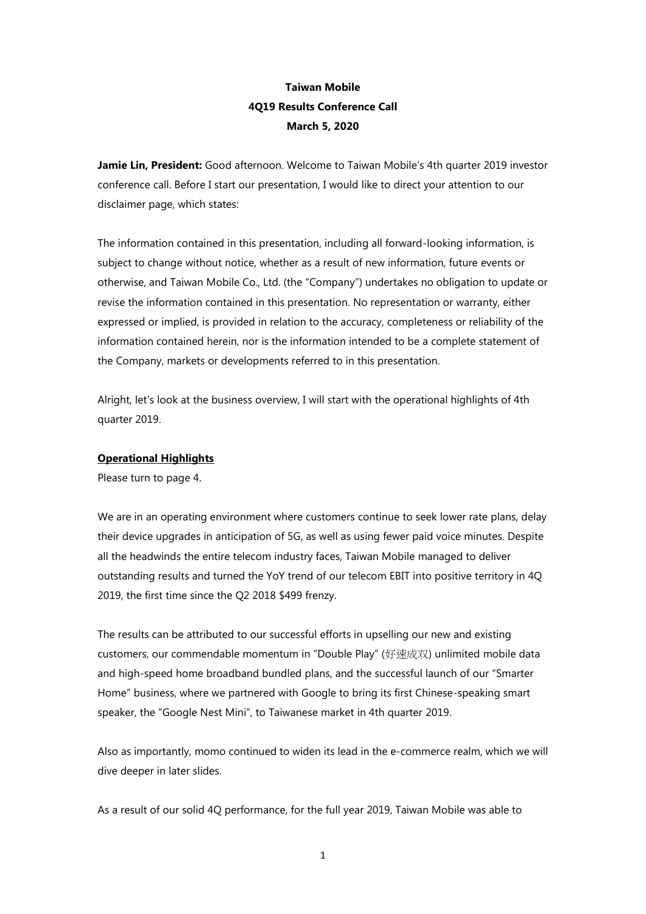# **Taiwan Mobile 4Q19 Results Conference Call March 5, 2020**

**Jamie Lin, President:** Good afternoon. Welcome to Taiwan Mobile's 4th quarter 2019 investor conference call. Before I start our presentation, I would like to direct your attention to our disclaimer page, which states:

The information contained in this presentation, including all forward-looking information, is subject to change without notice, whether as a result of new information, future events or otherwise, and Taiwan Mobile Co., Ltd. (the "Company") undertakes no obligation to update or revise the information contained in this presentation. No representation or warranty, either expressed or implied, is provided in relation to the accuracy, completeness or reliability of the information contained herein, nor is the information intended to be a complete statement of the Company, markets or developments referred to in this presentation.

Alright, let's look at the business overview, I will start with the operational highlights of 4th quarter 2019.

### **Operational Highlights**

Please turn to page 4.

We are in an operating environment where customers continue to seek lower rate plans, delay their device upgrades in anticipation of 5G, as well as using fewer paid voice minutes. Despite all the headwinds the entire telecom industry faces, Taiwan Mobile managed to deliver outstanding results and turned the YoY trend of our telecom EBIT into positive territory in 4Q 2019, the first time since the Q2 2018 \$499 frenzy.

The results can be attributed to our successful efforts in upselling our new and existing customers, our commendable momentum in "Double Play" (好速成双) unlimited mobile data and high-speed home broadband bundled plans, and the successful launch of our "Smarter Home" business, where we partnered with Google to bring its first Chinese-speaking smart speaker, the "Google Nest Mini", to Taiwanese market in 4th quarter 2019.

Also as importantly, momo continued to widen its lead in the e-commerce realm, which we will dive deeper in later slides.

As a result of our solid 4Q performance, for the full year 2019, Taiwan Mobile was able to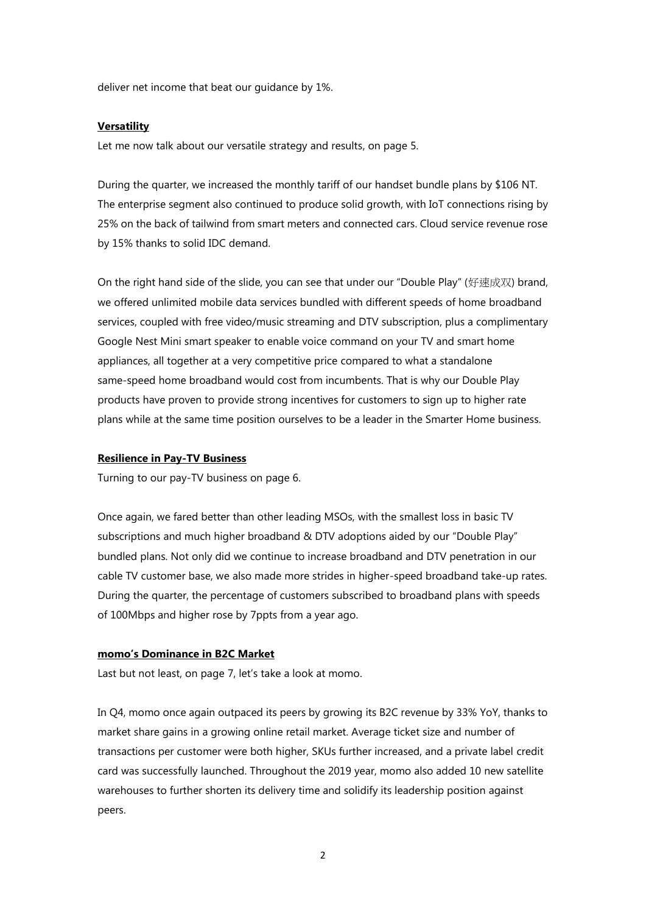deliver net income that beat our guidance by 1%.

#### **Versatility**

Let me now talk about our versatile strategy and results, on page 5.

During the quarter, we increased the monthly tariff of our handset bundle plans by \$106 NT. The enterprise segment also continued to produce solid growth, with IoT connections rising by 25% on the back of tailwind from smart meters and connected cars. Cloud service revenue rose by 15% thanks to solid IDC demand.

On the right hand side of the slide, you can see that under our "Double Play" (好速成双) brand, we offered unlimited mobile data services bundled with different speeds of home broadband services, coupled with free video/music streaming and DTV subscription, plus a complimentary Google Nest Mini smart speaker to enable voice command on your TV and smart home appliances, all together at a very competitive price compared to what a standalone same-speed home broadband would cost from incumbents. That is why our Double Play products have proven to provide strong incentives for customers to sign up to higher rate plans while at the same time position ourselves to be a leader in the Smarter Home business.

#### **Resilience in Pay-TV Business**

Turning to our pay-TV business on page 6.

Once again, we fared better than other leading MSOs, with the smallest loss in basic TV subscriptions and much higher broadband & DTV adoptions aided by our "Double Play" bundled plans. Not only did we continue to increase broadband and DTV penetration in our cable TV customer base, we also made more strides in higher-speed broadband take-up rates. During the quarter, the percentage of customers subscribed to broadband plans with speeds of 100Mbps and higher rose by 7ppts from a year ago.

#### **momo's Dominance in B2C Market**

Last but not least, on page 7, let's take a look at momo.

In Q4, momo once again outpaced its peers by growing its B2C revenue by 33% YoY, thanks to market share gains in a growing online retail market. Average ticket size and number of transactions per customer were both higher, SKUs further increased, and a private label credit card was successfully launched. Throughout the 2019 year, momo also added 10 new satellite warehouses to further shorten its delivery time and solidify its leadership position against peers.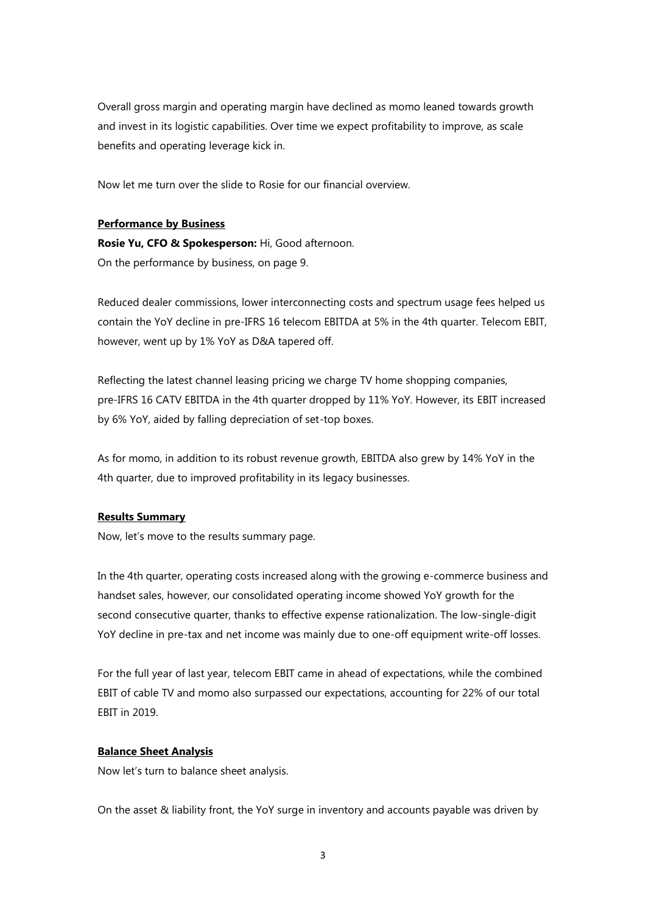Overall gross margin and operating margin have declined as momo leaned towards growth and invest in its logistic capabilities. Over time we expect profitability to improve, as scale benefits and operating leverage kick in.

Now let me turn over the slide to Rosie for our financial overview.

### **Performance by Business**

**Rosie Yu, CFO & Spokesperson:** Hi, Good afternoon. On the performance by business, on page 9.

Reduced dealer commissions, lower interconnecting costs and spectrum usage fees helped us contain the YoY decline in pre-IFRS 16 telecom EBITDA at 5% in the 4th quarter. Telecom EBIT, however, went up by 1% YoY as D&A tapered off.

Reflecting the latest channel leasing pricing we charge TV home shopping companies, pre-IFRS 16 CATV EBITDA in the 4th quarter dropped by 11% YoY. However, its EBIT increased by 6% YoY, aided by falling depreciation of set-top boxes.

As for momo, in addition to its robust revenue growth, EBITDA also grew by 14% YoY in the 4th quarter, due to improved profitability in its legacy businesses.

## **Results Summary**

Now, let's move to the results summary page.

In the 4th quarter, operating costs increased along with the growing e-commerce business and handset sales, however, our consolidated operating income showed YoY growth for the second consecutive quarter, thanks to effective expense rationalization. The low-single-digit YoY decline in pre-tax and net income was mainly due to one-off equipment write-off losses.

For the full year of last year, telecom EBIT came in ahead of expectations, while the combined EBIT of cable TV and momo also surpassed our expectations, accounting for 22% of our total EBIT in 2019.

#### **Balance Sheet Analysis**

Now let's turn to balance sheet analysis.

On the asset & liability front, the YoY surge in inventory and accounts payable was driven by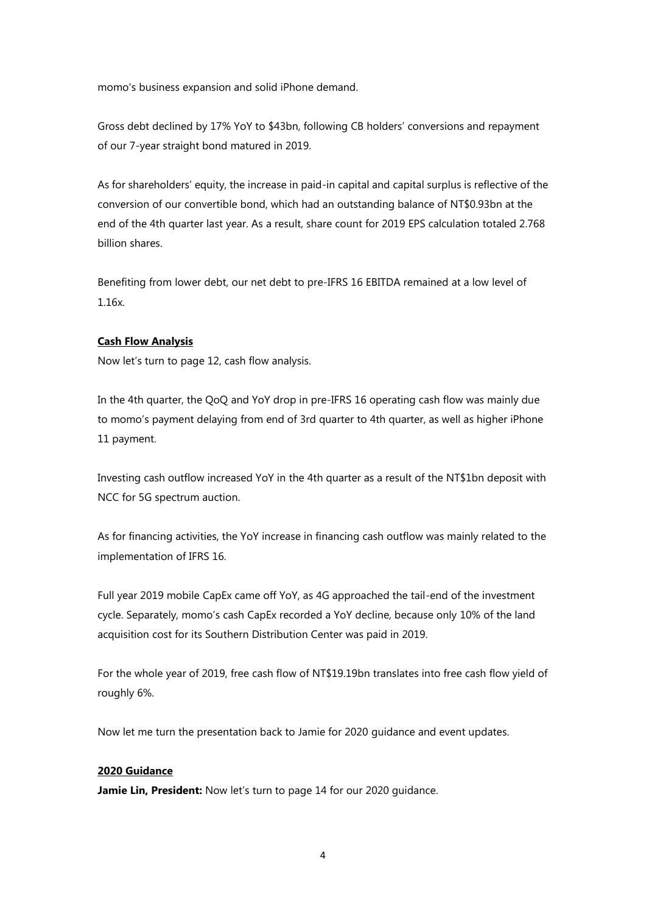momo's business expansion and solid iPhone demand.

Gross debt declined by 17% YoY to \$43bn, following CB holders' conversions and repayment of our 7-year straight bond matured in 2019.

As for shareholders' equity, the increase in paid-in capital and capital surplus is reflective of the conversion of our convertible bond, which had an outstanding balance of NT\$0.93bn at the end of the 4th quarter last year. As a result, share count for 2019 EPS calculation totaled 2.768 billion shares.

Benefiting from lower debt, our net debt to pre-IFRS 16 EBITDA remained at a low level of 1.16x.

# **Cash Flow Analysis**

Now let's turn to page 12, cash flow analysis.

In the 4th quarter, the QoQ and YoY drop in pre-IFRS 16 operating cash flow was mainly due to momo's payment delaying from end of 3rd quarter to 4th quarter, as well as higher iPhone 11 payment.

Investing cash outflow increased YoY in the 4th quarter as a result of the NT\$1bn deposit with NCC for 5G spectrum auction.

As for financing activities, the YoY increase in financing cash outflow was mainly related to the implementation of IFRS 16.

Full year 2019 mobile CapEx came off YoY, as 4G approached the tail-end of the investment cycle. Separately, momo's cash CapEx recorded a YoY decline, because only 10% of the land acquisition cost for its Southern Distribution Center was paid in 2019.

For the whole year of 2019, free cash flow of NT\$19.19bn translates into free cash flow yield of roughly 6%.

Now let me turn the presentation back to Jamie for 2020 guidance and event updates.

#### **2020 Guidance**

**Jamie Lin, President:** Now let's turn to page 14 for our 2020 guidance.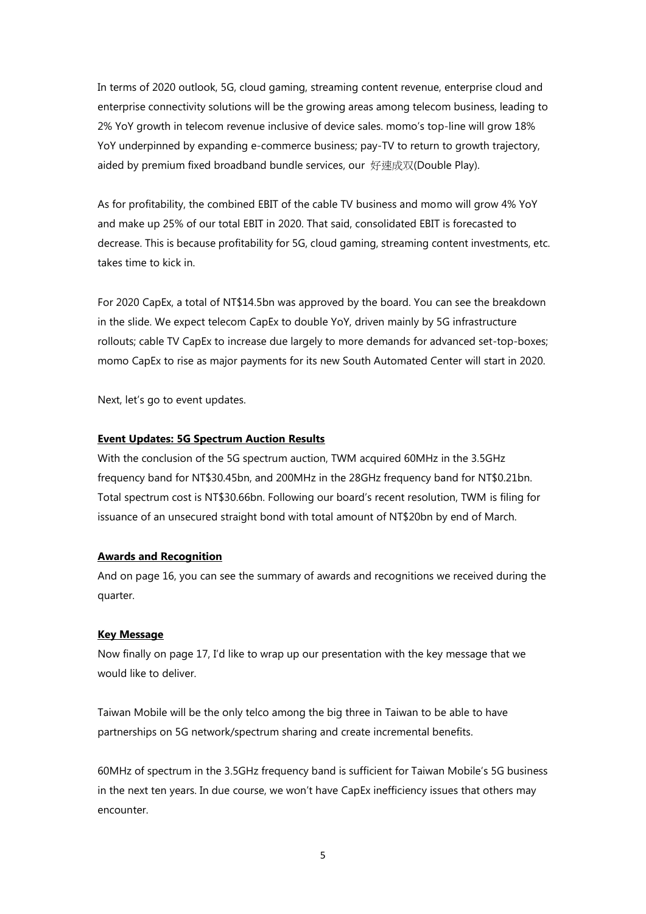In terms of 2020 outlook, 5G, cloud gaming, streaming content revenue, enterprise cloud and enterprise connectivity solutions will be the growing areas among telecom business, leading to 2% YoY growth in telecom revenue inclusive of device sales. momo's top-line will grow 18% YoY underpinned by expanding e-commerce business; pay-TV to return to growth trajectory, aided by premium fixed broadband bundle services, our 好速成双(Double Play).

As for profitability, the combined EBIT of the cable TV business and momo will grow 4% YoY and make up 25% of our total EBIT in 2020. That said, consolidated EBIT is forecasted to decrease. This is because profitability for 5G, cloud gaming, streaming content investments, etc. takes time to kick in.

For 2020 CapEx, a total of NT\$14.5bn was approved by the board. You can see the breakdown in the slide. We expect telecom CapEx to double YoY, driven mainly by 5G infrastructure rollouts; cable TV CapEx to increase due largely to more demands for advanced set-top-boxes; momo CapEx to rise as major payments for its new South Automated Center will start in 2020.

Next, let's go to event updates.

### **Event Updates: 5G Spectrum Auction Results**

With the conclusion of the 5G spectrum auction, TWM acquired 60MHz in the 3.5GHz frequency band for NT\$30.45bn, and 200MHz in the 28GHz frequency band for NT\$0.21bn. Total spectrum cost is NT\$30.66bn. Following our board's recent resolution, TWM is filing for issuance of an unsecured straight bond with total amount of NT\$20bn by end of March.

## **Awards and Recognition**

And on page 16, you can see the summary of awards and recognitions we received during the quarter.

#### **Key Message**

Now finally on page 17, I'd like to wrap up our presentation with the key message that we would like to deliver.

Taiwan Mobile will be the only telco among the big three in Taiwan to be able to have partnerships on 5G network/spectrum sharing and create incremental benefits.

60MHz of spectrum in the 3.5GHz frequency band is sufficient for Taiwan Mobile's 5G business in the next ten years. In due course, we won't have CapEx inefficiency issues that others may encounter.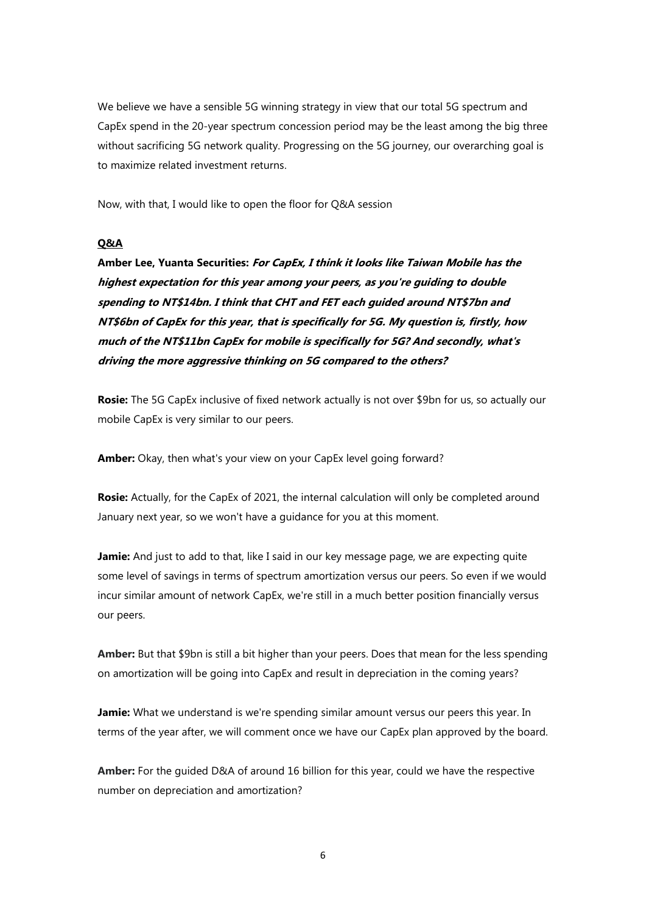We believe we have a sensible 5G winning strategy in view that our total 5G spectrum and CapEx spend in the 20-year spectrum concession period may be the least among the big three without sacrificing 5G network quality. Progressing on the 5G journey, our overarching goal is to maximize related investment returns.

Now, with that, I would like to open the floor for Q&A session

### **Q&A**

**Amber Lee, Yuanta Securities: For CapEx, I think it looks like Taiwan Mobile has the highest expectation for this year among your peers, as you're guiding to double spending to NT\$14bn. I think that CHT and FET each guided around NT\$7bn and NT\$6bn of CapEx for this year, that is specifically for 5G. My question is, firstly, how much of the NT\$11bn CapEx for mobile is specifically for 5G? And secondly, what's driving the more aggressive thinking on 5G compared to the others?**

**Rosie:** The 5G CapEx inclusive of fixed network actually is not over \$9bn for us, so actually our mobile CapEx is very similar to our peers.

**Amber:** Okay, then what's your view on your CapEx level going forward?

**Rosie:** Actually, for the CapEx of 2021, the internal calculation will only be completed around January next year, so we won't have a guidance for you at this moment.

**Jamie:** And just to add to that, like I said in our key message page, we are expecting quite some level of savings in terms of spectrum amortization versus our peers. So even if we would incur similar amount of network CapEx, we're still in a much better position financially versus our peers.

**Amber:** But that \$9bn is still a bit higher than your peers. Does that mean for the less spending on amortization will be going into CapEx and result in depreciation in the coming years?

**Jamie:** What we understand is we're spending similar amount versus our peers this year. In terms of the year after, we will comment once we have our CapEx plan approved by the board.

**Amber:** For the guided D&A of around 16 billion for this year, could we have the respective number on depreciation and amortization?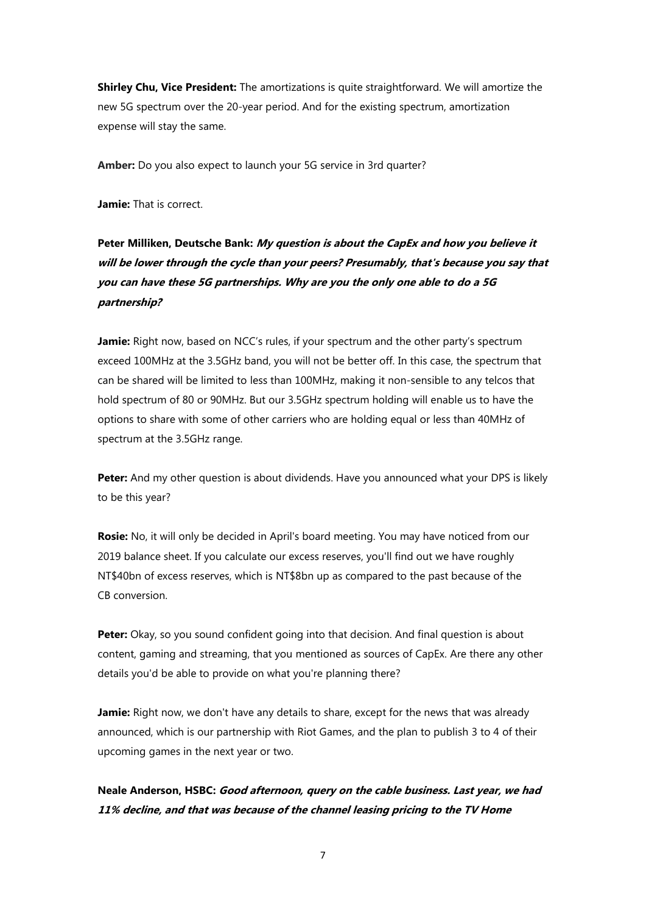**Shirley Chu, Vice President:** The amortizations is quite straightforward. We will amortize the new 5G spectrum over the 20-year period. And for the existing spectrum, amortization expense will stay the same.

**Amber:** Do you also expect to launch your 5G service in 3rd quarter?

**Jamie:** That is correct.

# **Peter Milliken, Deutsche Bank: My question is about the CapEx and how you believe it will be lower through the cycle than your peers? Presumably, that's because you say that you can have these 5G partnerships. Why are you the only one able to do a 5G partnership?**

**Jamie:** Right now, based on NCC's rules, if your spectrum and the other party's spectrum exceed 100MHz at the 3.5GHz band, you will not be better off. In this case, the spectrum that can be shared will be limited to less than 100MHz, making it non-sensible to any telcos that hold spectrum of 80 or 90MHz. But our 3.5GHz spectrum holding will enable us to have the options to share with some of other carriers who are holding equal or less than 40MHz of spectrum at the 3.5GHz range.

**Peter:** And my other question is about dividends. Have you announced what your DPS is likely to be this year?

**Rosie:** No, it will only be decided in April's board meeting. You may have noticed from our 2019 balance sheet. If you calculate our excess reserves, you'll find out we have roughly NT\$40bn of excess reserves, which is NT\$8bn up as compared to the past because of the CB conversion.

Peter: Okay, so you sound confident going into that decision. And final question is about content, gaming and streaming, that you mentioned as sources of CapEx. Are there any other details you'd be able to provide on what you're planning there?

**Jamie:** Right now, we don't have any details to share, except for the news that was already announced, which is our partnership with Riot Games, and the plan to publish 3 to 4 of their upcoming games in the next year or two.

# **Neale Anderson, HSBC: Good afternoon, query on the cable business. Last year, we had 11% decline, and that was because of the channel leasing pricing to the TV Home**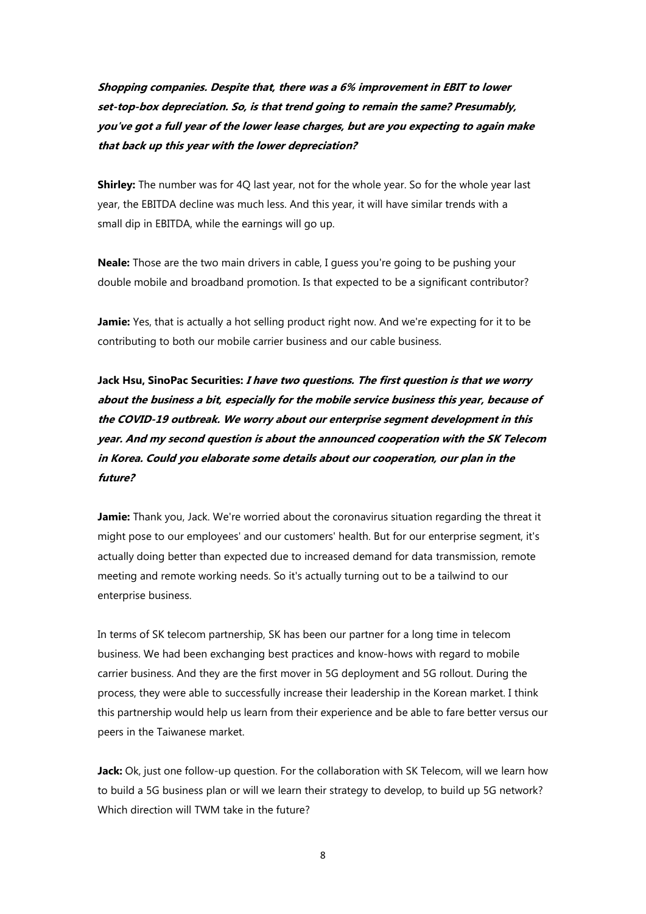**Shopping companies. Despite that, there was a 6% improvement in EBIT to lower set-top-box depreciation. So, is that trend going to remain the same? Presumably, you've got a full year of the lower lease charges, but are you expecting to again make that back up this year with the lower depreciation?**

**Shirley:** The number was for 4Q last year, not for the whole year. So for the whole year last year, the EBITDA decline was much less. And this year, it will have similar trends with a small dip in EBITDA, while the earnings will go up.

**Neale:** Those are the two main drivers in cable, I guess you're going to be pushing your double mobile and broadband promotion. Is that expected to be a significant contributor?

**Jamie:** Yes, that is actually a hot selling product right now. And we're expecting for it to be contributing to both our mobile carrier business and our cable business.

**Jack Hsu, SinoPac Securities: I have two questions. The first question is that we worry about the business a bit, especially for the mobile service business this year, because of the COVID-19 outbreak. We worry about our enterprise segment development in this year. And my second question is about the announced cooperation with the SK Telecom in Korea. Could you elaborate some details about our cooperation, our plan in the future?**

**Jamie:** Thank you, Jack. We're worried about the coronavirus situation regarding the threat it might pose to our employees' and our customers' health. But for our enterprise segment, it's actually doing better than expected due to increased demand for data transmission, remote meeting and remote working needs. So it's actually turning out to be a tailwind to our enterprise business.

In terms of SK telecom partnership, SK has been our partner for a long time in telecom business. We had been exchanging best practices and know-hows with regard to mobile carrier business. And they are the first mover in 5G deployment and 5G rollout. During the process, they were able to successfully increase their leadership in the Korean market. I think this partnership would help us learn from their experience and be able to fare better versus our peers in the Taiwanese market.

**Jack:** Ok, just one follow-up question. For the collaboration with SK Telecom, will we learn how to build a 5G business plan or will we learn their strategy to develop, to build up 5G network? Which direction will TWM take in the future?

8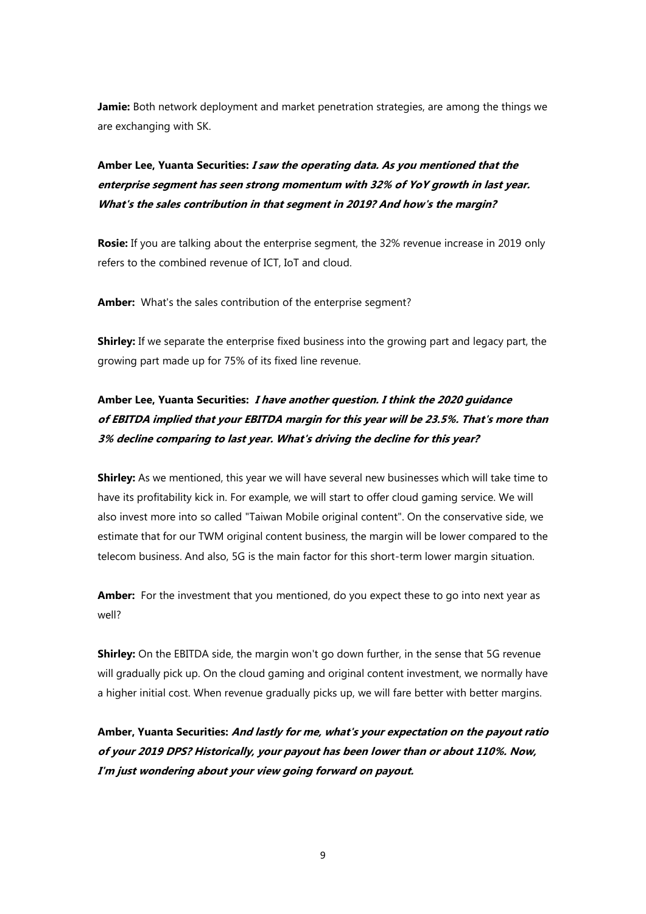**Jamie:** Both network deployment and market penetration strategies, are among the things we are exchanging with SK.

**Amber Lee, Yuanta Securities: I saw the operating data. As you mentioned that the enterprise segment has seen strong momentum with 32% of YoY growth in last year. What's the sales contribution in that segment in 2019? And how's the margin?**

**Rosie:** If you are talking about the enterprise segment, the 32% revenue increase in 2019 only refers to the combined revenue of ICT, IoT and cloud.

**Amber:** What's the sales contribution of the enterprise segment?

**Shirley:** If we separate the enterprise fixed business into the growing part and legacy part, the growing part made up for 75% of its fixed line revenue.

# **Amber Lee, Yuanta Securities: I have another question. I think the 2020 guidance of EBITDA implied that your EBITDA margin for this year will be 23.5%. That's more than 3% decline comparing to last year. What's driving the decline for this year?**

**Shirley:** As we mentioned, this year we will have several new businesses which will take time to have its profitability kick in. For example, we will start to offer cloud gaming service. We will also invest more into so called "Taiwan Mobile original content". On the conservative side, we estimate that for our TWM original content business, the margin will be lower compared to the telecom business. And also, 5G is the main factor for this short-term lower margin situation.

**Amber:** For the investment that you mentioned, do you expect these to go into next year as well?

**Shirley:** On the EBITDA side, the margin won't go down further, in the sense that 5G revenue will gradually pick up. On the cloud gaming and original content investment, we normally have a higher initial cost. When revenue gradually picks up, we will fare better with better margins.

**Amber, Yuanta Securities: And lastly for me, what's your expectation on the payout ratio of your 2019 DPS? Historically, your payout has been lower than or about 110%. Now, I'm just wondering about your view going forward on payout.**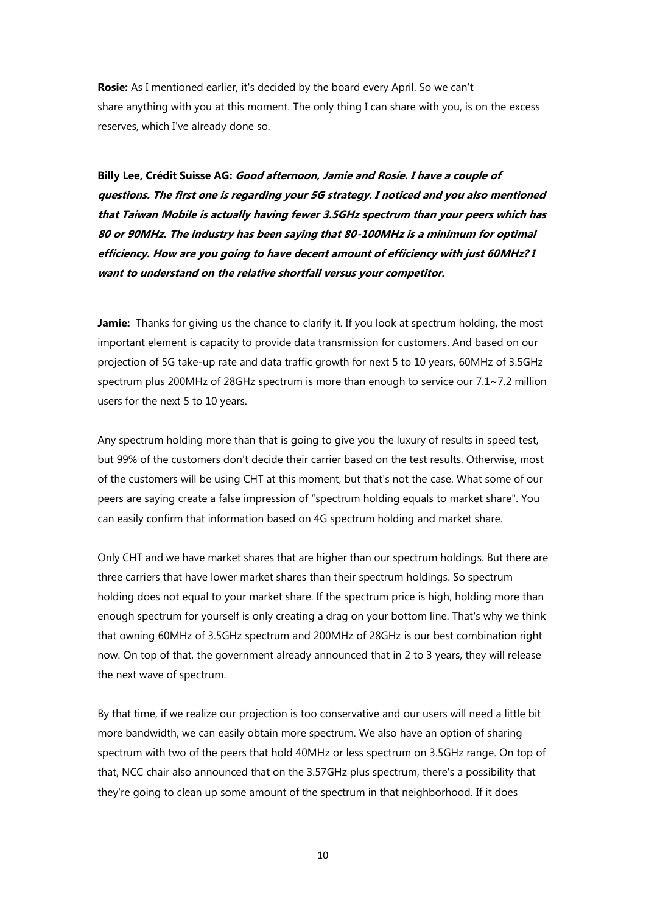**Rosie:** As I mentioned earlier, it's decided by the board every April. So we can't share anything with you at this moment. The only thing I can share with you, is on the excess reserves, which I've already done so.

**Billy Lee, Crédit Suisse AG: Good afternoon, Jamie and Rosie. I have a couple of questions. The first one is regarding your 5G strategy. I noticed and you also mentioned that Taiwan Mobile is actually having fewer 3.5GHz spectrum than your peers which has 80 or 90MHz. The industry has been saying that 80-100MHz is a minimum for optimal efficiency. How are you going to have decent amount of efficiency with just 60MHz? I want to understand on the relative shortfall versus your competitor.**

**Jamie:** Thanks for giving us the chance to clarify it. If you look at spectrum holding, the most important element is capacity to provide data transmission for customers. And based on our projection of 5G take-up rate and data traffic growth for next 5 to 10 years, 60MHz of 3.5GHz spectrum plus 200MHz of 28GHz spectrum is more than enough to service our 7.1~7.2 million users for the next 5 to 10 years.

Any spectrum holding more than that is going to give you the luxury of results in speed test, but 99% of the customers don't decide their carrier based on the test results. Otherwise, most of the customers will be using CHT at this moment, but that's not the case. What some of our peers are saying create a false impression of "spectrum holding equals to market share". You can easily confirm that information based on 4G spectrum holding and market share.

Only CHT and we have market shares that are higher than our spectrum holdings. But there are three carriers that have lower market shares than their spectrum holdings. So spectrum holding does not equal to your market share. If the spectrum price is high, holding more than enough spectrum for yourself is only creating a drag on your bottom line. That's why we think that owning 60MHz of 3.5GHz spectrum and 200MHz of 28GHz is our best combination right now. On top of that, the government already announced that in 2 to 3 years, they will release the next wave of spectrum.

By that time, if we realize our projection is too conservative and our users will need a little bit more bandwidth, we can easily obtain more spectrum. We also have an option of sharing spectrum with two of the peers that hold 40MHz or less spectrum on 3.5GHz range. On top of that, NCC chair also announced that on the 3.57GHz plus spectrum, there's a possibility that they're going to clean up some amount of the spectrum in that neighborhood. If it does

10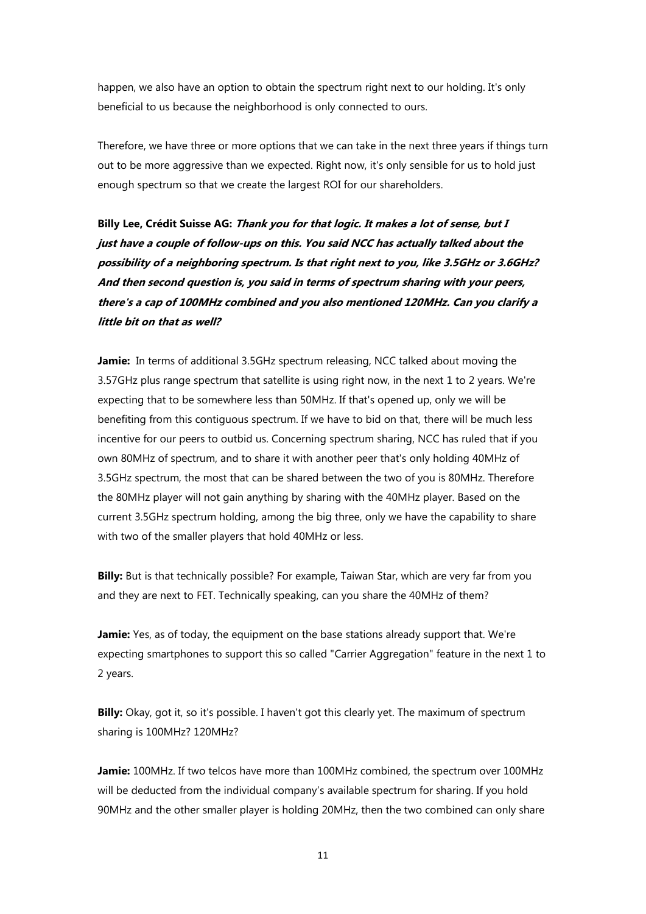happen, we also have an option to obtain the spectrum right next to our holding. It's only beneficial to us because the neighborhood is only connected to ours.

Therefore, we have three or more options that we can take in the next three years if things turn out to be more aggressive than we expected. Right now, it's only sensible for us to hold just enough spectrum so that we create the largest ROI for our shareholders.

**Billy Lee, Crédit Suisse AG: Thank you for that logic. It makes a lot of sense, but I just have a couple of follow-ups on this. You said NCC has actually talked about the possibility of a neighboring spectrum. Is that right next to you, like 3.5GHz or 3.6GHz? And then second question is, you said in terms of spectrum sharing with your peers, there's a cap of 100MHz combined and you also mentioned 120MHz. Can you clarify a little bit on that as well?**

**Jamie:** In terms of additional 3.5GHz spectrum releasing, NCC talked about moving the 3.57GHz plus range spectrum that satellite is using right now, in the next 1 to 2 years. We're expecting that to be somewhere less than 50MHz. If that's opened up, only we will be benefiting from this contiguous spectrum. If we have to bid on that, there will be much less incentive for our peers to outbid us. Concerning spectrum sharing, NCC has ruled that if you own 80MHz of spectrum, and to share it with another peer that's only holding 40MHz of 3.5GHz spectrum, the most that can be shared between the two of you is 80MHz. Therefore the 80MHz player will not gain anything by sharing with the 40MHz player. Based on the current 3.5GHz spectrum holding, among the big three, only we have the capability to share with two of the smaller players that hold 40MHz or less.

**Billy:** But is that technically possible? For example, Taiwan Star, which are very far from you and they are next to FET. Technically speaking, can you share the 40MHz of them?

**Jamie:** Yes, as of today, the equipment on the base stations already support that. We're expecting smartphones to support this so called "Carrier Aggregation" feature in the next 1 to 2 years.

**Billy:** Okay, got it, so it's possible. I haven't got this clearly yet. The maximum of spectrum sharing is 100MHz? 120MHz?

**Jamie:** 100MHz. If two telcos have more than 100MHz combined, the spectrum over 100MHz will be deducted from the individual company's available spectrum for sharing. If you hold 90MHz and the other smaller player is holding 20MHz, then the two combined can only share